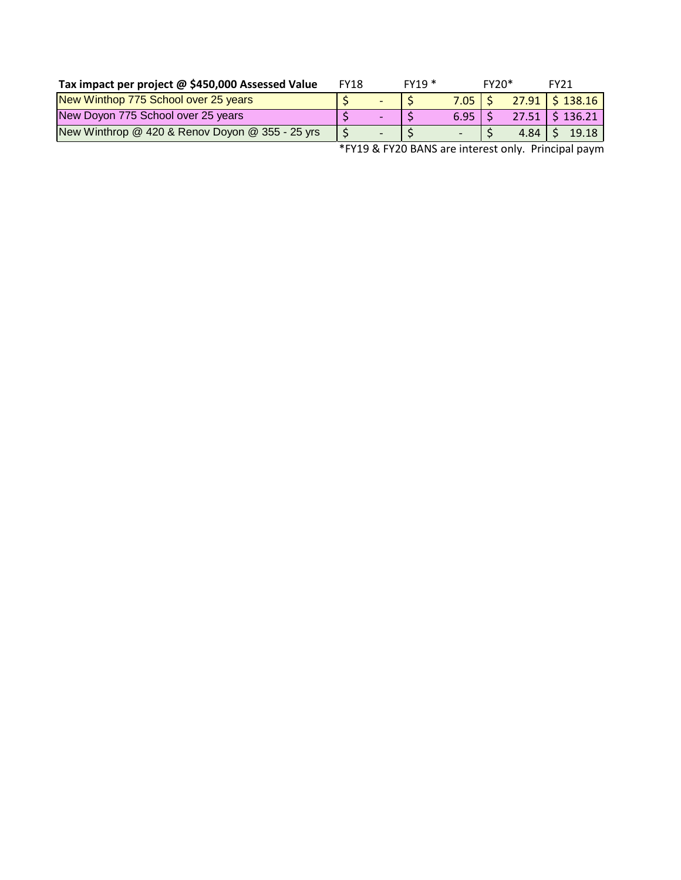| Tax impact per project @ \$450,000 Assessed Value | FY18 | $FY19*$ |               | $FY20*$ |                    | <b>FY21</b>           |
|---------------------------------------------------|------|---------|---------------|---------|--------------------|-----------------------|
| New Winthop 775 School over 25 years              |      |         | $7.05$   \$   |         |                    | $27.91 \mid$ \$138.16 |
| New Doyon 775 School over 25 years                |      |         | $6.95 \mid S$ |         |                    | $27.51$ \$136.21      |
| New Winthrop @ 420 & Renov Doyon @ 355 - 25 yrs   |      |         |               |         | $4.84 \, \text{S}$ | 19.18                 |

\*FY19 & FY20 BANS are interest only. Principal paym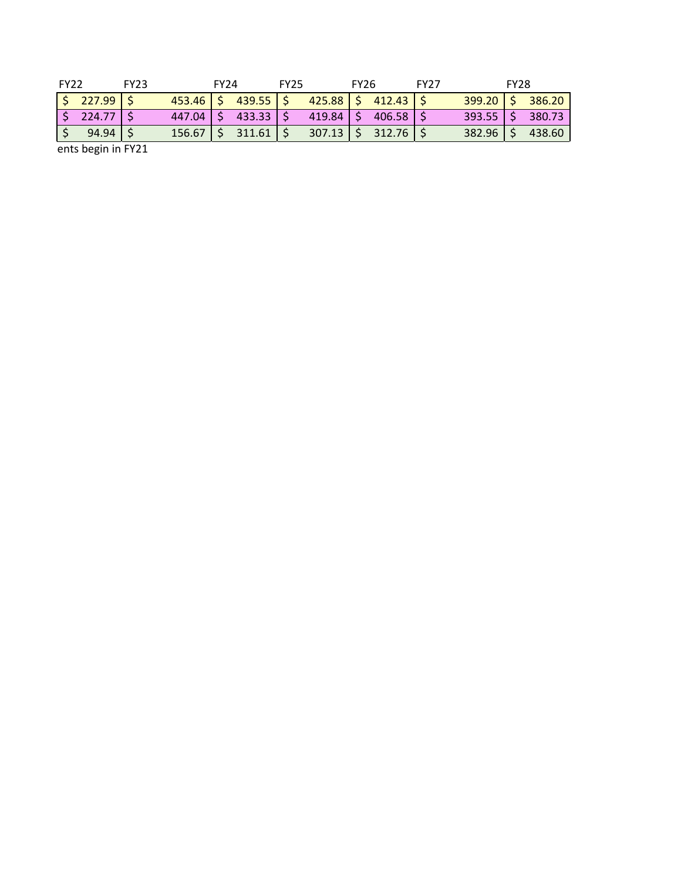| <b>FY22</b> |                         | <b>FY23</b> |               | <b>FY24</b> |        | <b>FY25</b> |               | <b>FY26</b> |        | <b>FY27</b> |               | <b>FY28</b> |        |
|-------------|-------------------------|-------------|---------------|-------------|--------|-------------|---------------|-------------|--------|-------------|---------------|-------------|--------|
|             | $\frac{1}{2}$ 227.99 \$ |             | $453.46$   \$ |             | 439.55 | - c         | $425.88$   \$ |             | 412.43 |             | $399.20$   \$ |             | 386.20 |
|             | $224.77$ $\mid$ \$      |             | 447.04        |             | 433.33 | -c          | 419.84        |             | 406.58 |             | 393.55        | / C/        | 380.73 |
|             | $94.94$   \$            |             | 156.67        |             | 311.61 |             | 307.13        |             | 312.76 |             | 382.96        |             | 438.60 |
|             | ents begin in FY21      |             |               |             |        |             |               |             |        |             |               |             |        |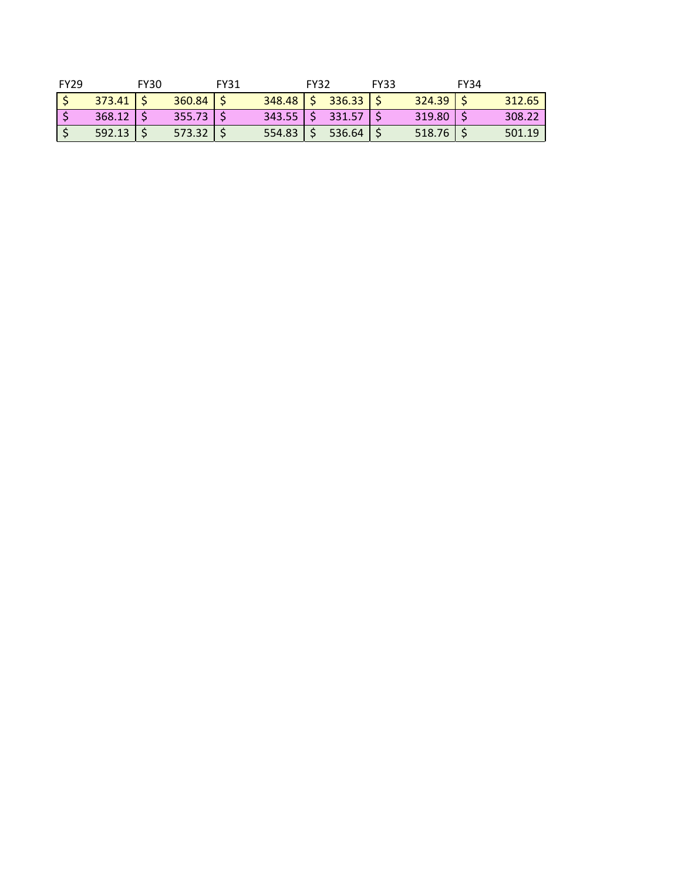| <b>FY29</b> |        | <b>FY30</b> |        | FY31 |                        | <b>FY32</b> |                      | <b>FY33</b> |               | <b>FY34</b> |        |
|-------------|--------|-------------|--------|------|------------------------|-------------|----------------------|-------------|---------------|-------------|--------|
|             | 373.41 |             | 360.84 |      |                        |             | $348.48$   \$ 336.33 |             | 324.39        |             | 312.65 |
|             | 368.12 |             | 355.73 |      | $343.55$ $\frac{1}{5}$ |             | 331.57               |             | $319.80$   \$ |             | 308.22 |
|             | 592.13 |             | 573.32 |      | 554.83                 |             | 536.64               |             | 518.76        |             | 501.19 |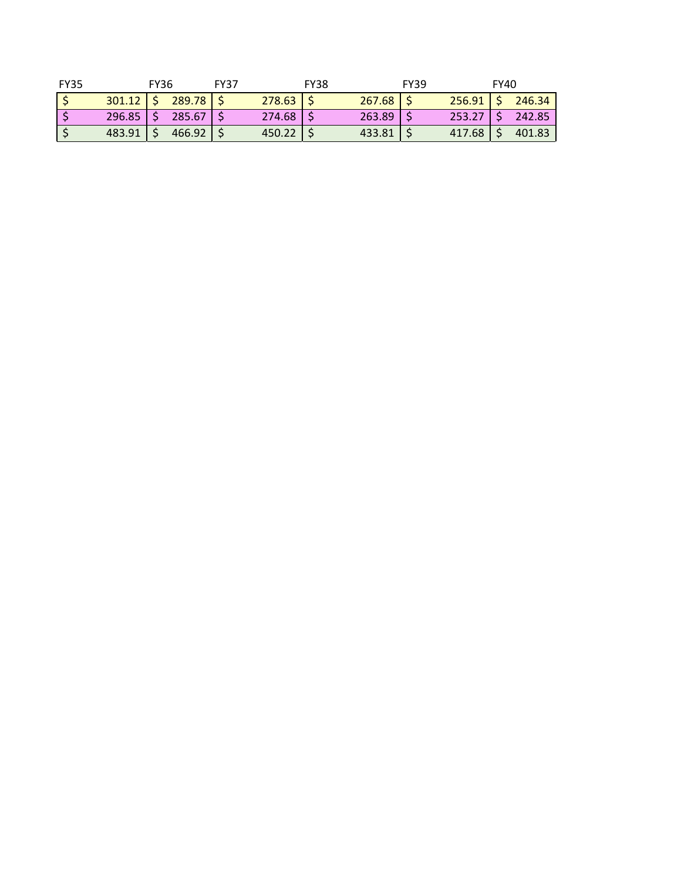| FY35 |               | <b>FY36</b> |                           | <b>FY37</b> |          | <b>FY38</b> |        | <b>FY39</b> |               | <b>FY40</b> |        |
|------|---------------|-------------|---------------------------|-------------|----------|-------------|--------|-------------|---------------|-------------|--------|
|      |               |             | $301.12$   \$ 289.78   \$ |             | 278.63   |             | 267.68 |             | $256.91$   \$ |             | 246.34 |
|      | $296.85$   \$ |             | 285.67 S                  |             | $274.68$ |             | 263.89 |             | 253.27        |             | 242.85 |
|      | 483.91        |             | 466.92                    |             | 450.22   |             | 433.81 |             | 417.68        |             | 401.83 |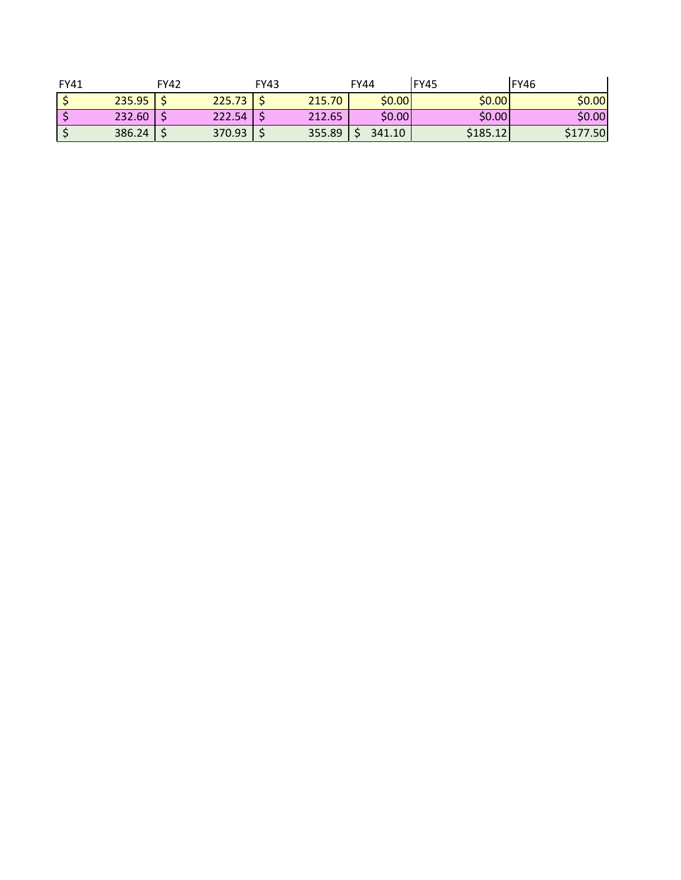| FY41 |        | <b>FY42</b> |        | <b>FY43</b> |        | <b>FY44</b> | FY45     | IFY46    |
|------|--------|-------------|--------|-------------|--------|-------------|----------|----------|
|      | 235.95 |             | 225.73 |             | 215.70 | \$0.00      | \$0.00   | \$0.00   |
|      | 232.60 |             | 222.54 |             | 212.65 | \$0.00      | \$0.00   | \$0.00   |
|      | 386.24 |             | 370.93 |             | 355.89 | 341.10      | \$185.12 | \$177.50 |